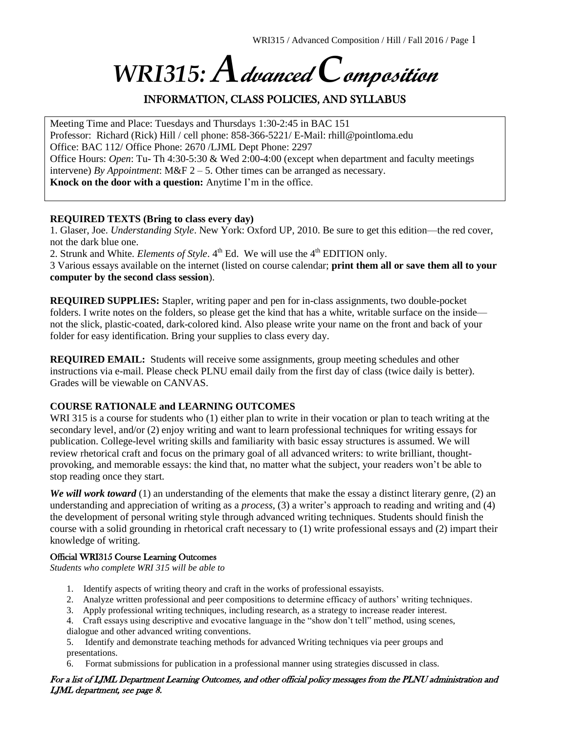# *WRI315: A***dvanced** *C***omposition**

# INFORMATION, CLASS POLICIES, AND SYLLABUS

Meeting Time and Place: Tuesdays and Thursdays 1:30-2:45 in BAC 151 Professor: Richard (Rick) Hill / cell phone: 858-366-5221/ E-Mail: rhill@pointloma.edu Office: BAC 112/ Office Phone: 2670 /LJML Dept Phone: 2297 Office Hours: *Open*: Tu- Th 4:30-5:30 & Wed 2:00-4:00 (except when department and faculty meetings intervene) *By Appointment*: M&F 2 – 5. Other times can be arranged as necessary. **Knock on the door with a question:** Anytime I'm in the office.

#### **REQUIRED TEXTS (Bring to class every day)**

1. Glaser, Joe. *Understanding Style*. New York: Oxford UP, 2010. Be sure to get this edition—the red cover, not the dark blue one.

2. Strunk and White. *Elements of Style*. 4<sup>th</sup> Ed. We will use the 4<sup>th</sup> EDITION only.

3 Various essays available on the internet (listed on course calendar; **print them all or save them all to your computer by the second class session**).

**REQUIRED SUPPLIES:** Stapler, writing paper and pen for in-class assignments, two double-pocket folders. I write notes on the folders, so please get the kind that has a white, writable surface on the inside not the slick, plastic-coated, dark-colored kind. Also please write your name on the front and back of your folder for easy identification. Bring your supplies to class every day.

**REQUIRED EMAIL:** Students will receive some assignments, group meeting schedules and other instructions via e-mail. Please check PLNU email daily from the first day of class (twice daily is better). Grades will be viewable on CANVAS.

#### **COURSE RATIONALE and LEARNING OUTCOMES**

WRI 315 is a course for students who (1) either plan to write in their vocation or plan to teach writing at the secondary level, and/or (2) enjoy writing and want to learn professional techniques for writing essays for publication. College-level writing skills and familiarity with basic essay structures is assumed. We will review rhetorical craft and focus on the primary goal of all advanced writers: to write brilliant, thoughtprovoking, and memorable essays: the kind that, no matter what the subject, your readers won't be able to stop reading once they start.

*We will work toward* (1) an understanding of the elements that make the essay a distinct literary genre, (2) an understanding and appreciation of writing as a *process,* (3) a writer's approach to reading and writing and (4) the development of personal writing style through advanced writing techniques. Students should finish the course with a solid grounding in rhetorical craft necessary to (1) write professional essays and (2) impart their knowledge of writing.

#### Official WRI315 Course Learning Outcomes

*Students who complete WRI 315 will be able to*

- 1. Identify aspects of writing theory and craft in the works of professional essayists.
- 2. Analyze written professional and peer compositions to determine efficacy of authors' writing techniques.
- 3. Apply professional writing techniques, including research, as a strategy to increase reader interest.
- 4. Craft essays using descriptive and evocative language in the "show don't tell" method, using scenes, dialogue and other advanced writing conventions.

5. Identify and demonstrate teaching methods for advanced Writing techniques via peer groups and presentations.

Format submissions for publication in a professional manner using strategies discussed in class.

#### For a list of LJML Department Learning Outcomes, and other official policy messages from the PLNU administration and LJML department, see page 8.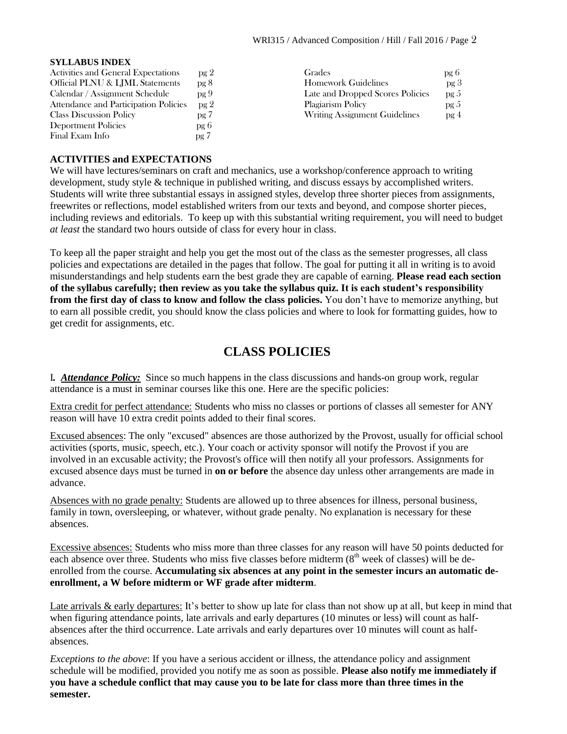#### **SYLLABUS INDEX**

| Activities and General Expectations   | pg 2            | Grades                           | pg 6            |
|---------------------------------------|-----------------|----------------------------------|-----------------|
| Official PLNU & LJML Statements       | pg 8            | <b>Homework Guidelines</b>       | pg <sub>3</sub> |
| Calendar / Assignment Schedule        | pg9             | Late and Dropped Scores Policies | pg 5            |
| Attendance and Participation Policies | pg <sub>2</sub> | Plagiarism Policy                | pg <sub>5</sub> |
| <b>Class Discussion Policy</b>        | pg 7            | Writing Assignment Guidelines    | pg <sub>4</sub> |
| Deportment Policies                   | pg 6            |                                  |                 |
| Final Exam Info                       | pg 7            |                                  |                 |

#### **ACTIVITIES and EXPECTATIONS**

We will have lectures/seminars on craft and mechanics, use a workshop/conference approach to writing development, study style & technique in published writing, and discuss essays by accomplished writers*.*  Students will write three substantial essays in assigned styles, develop three shorter pieces from assignments, freewrites or reflections, model established writers from our texts and beyond, and compose shorter pieces, including reviews and editorials. To keep up with this substantial writing requirement, you will need to budget *at least* the standard two hours outside of class for every hour in class.

To keep all the paper straight and help you get the most out of the class as the semester progresses, all class policies and expectations are detailed in the pages that follow. The goal for putting it all in writing is to avoid misunderstandings and help students earn the best grade they are capable of earning. **Please read each section of the syllabus carefully; then review as you take the syllabus quiz. It is each student's responsibility from the first day of class to know and follow the class policies.** You don't have to memorize anything, but to earn all possible credit, you should know the class policies and where to look for formatting guides, how to get credit for assignments, etc.

# **CLASS POLICIES**

I*. Attendance Policy:* Since so much happens in the class discussions and hands-on group work, regular attendance is a must in seminar courses like this one. Here are the specific policies:

Extra credit for perfect attendance: Students who miss no classes or portions of classes all semester for ANY reason will have 10 extra credit points added to their final scores.

Excused absences: The only "excused" absences are those authorized by the Provost, usually for official school activities (sports, music, speech, etc.). Your coach or activity sponsor will notify the Provost if you are involved in an excusable activity; the Provost's office will then notify all your professors. Assignments for excused absence days must be turned in **on or before** the absence day unless other arrangements are made in advance.

Absences with no grade penalty: Students are allowed up to three absences for illness, personal business, family in town, oversleeping, or whatever, without grade penalty. No explanation is necessary for these absences.

Excessive absences: Students who miss more than three classes for any reason will have 50 points deducted for each absence over three. Students who miss five classes before midterm  $(8<sup>th</sup>$  week of classes) will be deenrolled from the course. **Accumulating six absences at any point in the semester incurs an automatic deenrollment, a W before midterm or WF grade after midterm**.

Late arrivals & early departures: It's better to show up late for class than not show up at all, but keep in mind that when figuring attendance points, late arrivals and early departures (10 minutes or less) will count as halfabsences after the third occurrence. Late arrivals and early departures over 10 minutes will count as halfabsences.

*Exceptions to the above*: If you have a serious accident or illness, the attendance policy and assignment schedule will be modified, provided you notify me as soon as possible. **Please also notify me immediately if you have a schedule conflict that may cause you to be late for class more than three times in the semester.**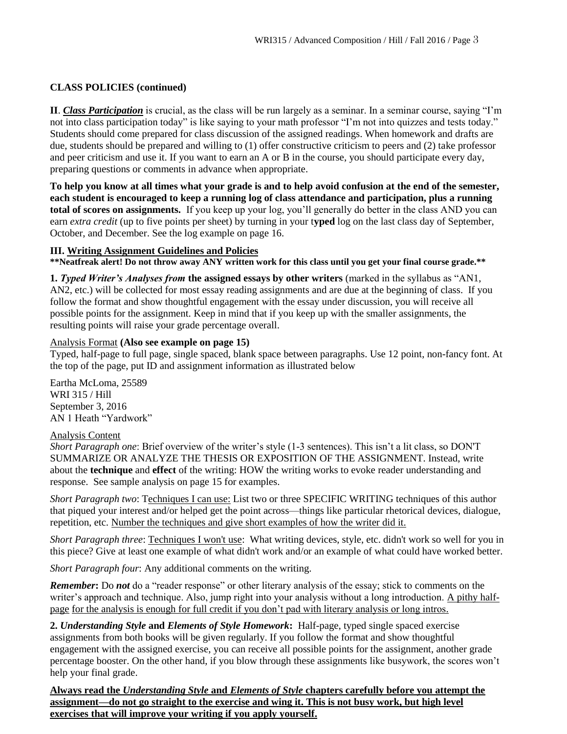#### **CLASS POLICIES (continued)**

**II**. *Class Participation* is crucial, as the class will be run largely as a seminar. In a seminar course, saying "I'm not into class participation today" is like saying to your math professor "I'm not into quizzes and tests today." Students should come prepared for class discussion of the assigned readings. When homework and drafts are due, students should be prepared and willing to (1) offer constructive criticism to peers and (2) take professor and peer criticism and use it. If you want to earn an A or B in the course, you should participate every day, preparing questions or comments in advance when appropriate.

**To help you know at all times what your grade is and to help avoid confusion at the end of the semester, each student is encouraged to keep a running log of class attendance and participation, plus a running total of scores on assignments.** If you keep up your log, you'll generally do better in the class AND you can earn *extra credit* (up to five points per sheet) by turning in your t**yped** log on the last class day of September, October, and December. See the log example on page 16.

#### **III. Writing Assignment Guidelines and Policies**

**\*\*Neatfreak alert! Do not throw away ANY written work for this class until you get your final course grade.\*\***

**1.** *Typed Writer's Analyses from* **the assigned essays by other writers** (marked in the syllabus as "AN1, AN2, etc.) will be collected for most essay reading assignments and are due at the beginning of class. If you follow the format and show thoughtful engagement with the essay under discussion, you will receive all possible points for the assignment. Keep in mind that if you keep up with the smaller assignments, the resulting points will raise your grade percentage overall.

#### Analysis Format **(Also see example on page 15)**

Typed, half-page to full page, single spaced, blank space between paragraphs. Use 12 point, non-fancy font. At the top of the page, put ID and assignment information as illustrated below

Eartha McLoma, 25589 WRI 315 / Hill September 3, 2016 AN 1 Heath "Yardwork"

#### Analysis Content

*Short Paragraph one*: Brief overview of the writer's style (1-3 sentences). This isn't a lit class, so DON'T SUMMARIZE OR ANALYZE THE THESIS OR EXPOSITION OF THE ASSIGNMENT. Instead, write about the **technique** and **effect** of the writing: HOW the writing works to evoke reader understanding and response. See sample analysis on page 15 for examples.

*Short Paragraph two*: Techniques I can use: List two or three SPECIFIC WRITING techniques of this author that piqued your interest and/or helped get the point across—things like particular rhetorical devices, dialogue, repetition, etc. Number the techniques and give short examples of how the writer did it.

*Short Paragraph three*: Techniques I won't use: What writing devices, style, etc. didn't work so well for you in this piece? Give at least one example of what didn't work and/or an example of what could have worked better.

*Short Paragraph four*: Any additional comments on the writing.

*Remember***:** Do *not* do a "reader response" or other literary analysis of the essay; stick to comments on the writer's approach and technique. Also, jump right into your analysis without a long introduction. A pithy halfpage for the analysis is enough for full credit if you don't pad with literary analysis or long intros.

**2.** *Understanding Style* **and** *Elements of Style Homework***:** Half-page, typed single spaced exercise assignments from both books will be given regularly. If you follow the format and show thoughtful engagement with the assigned exercise, you can receive all possible points for the assignment, another grade percentage booster. On the other hand, if you blow through these assignments like busywork, the scores won't help your final grade.

**Always read the** *Understanding Style* **and** *Elements of Style* **chapters carefully before you attempt the assignment—do not go straight to the exercise and wing it. This is not busy work, but high level exercises that will improve your writing if you apply yourself.**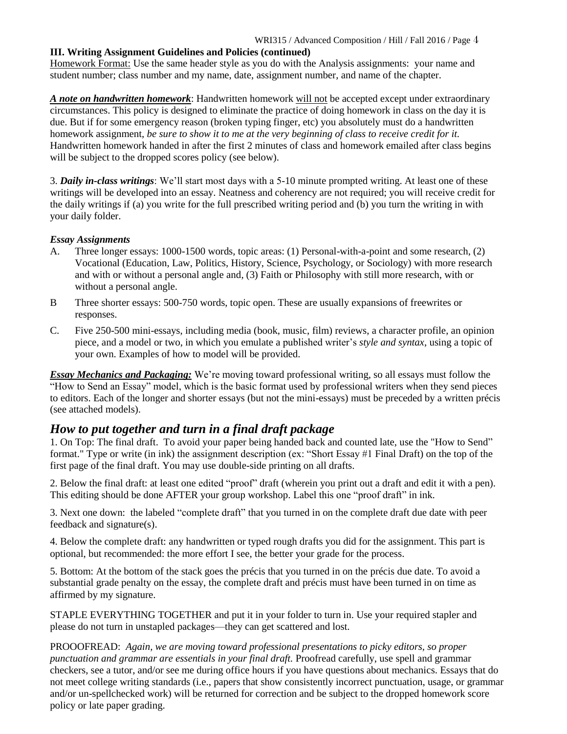#### **III. Writing Assignment Guidelines and Policies (continued)**

Homework Format: Use the same header style as you do with the Analysis assignments: your name and student number; class number and my name, date, assignment number, and name of the chapter.

*A note on handwritten homework*: Handwritten homework will not be accepted except under extraordinary circumstances. This policy is designed to eliminate the practice of doing homework in class on the day it is due. But if for some emergency reason (broken typing finger, etc) you absolutely must do a handwritten homework assignment, *be sure to show it to me at the very beginning of class to receive credit for it.* Handwritten homework handed in after the first 2 minutes of class and homework emailed after class begins will be subject to the dropped scores policy (see below).

3. *Daily in-class writings*: We'll start most days with a 5-10 minute prompted writing. At least one of these writings will be developed into an essay. Neatness and coherency are not required; you will receive credit for the daily writings if (a) you write for the full prescribed writing period and (b) you turn the writing in with your daily folder.

#### *Essay Assignments*

- A. Three longer essays: 1000-1500 words, topic areas: (1) Personal-with-a-point and some research, (2) Vocational (Education, Law, Politics, History, Science, Psychology, or Sociology) with more research and with or without a personal angle and, (3) Faith or Philosophy with still more research, with or without a personal angle.
- B Three shorter essays: 500-750 words, topic open. These are usually expansions of freewrites or responses.
- C. Five 250-500 mini-essays, including media (book, music, film) reviews, a character profile, an opinion piece, and a model or two, in which you emulate a published writer's *style and syntax*, using a topic of your own. Examples of how to model will be provided.

*Essay Mechanics and Packaging:* We're moving toward professional writing, so all essays must follow the "How to Send an Essay" model, which is the basic format used by professional writers when they send pieces to editors. Each of the longer and shorter essays (but not the mini-essays) must be preceded by a written précis (see attached models).

# *How to put together and turn in a final draft package*

1. On Top: The final draft. To avoid your paper being handed back and counted late, use the "How to Send" format." Type or write (in ink) the assignment description (ex: "Short Essay #1 Final Draft) on the top of the first page of the final draft. You may use double-side printing on all drafts.

2. Below the final draft: at least one edited "proof" draft (wherein you print out a draft and edit it with a pen). This editing should be done AFTER your group workshop. Label this one "proof draft" in ink.

3. Next one down: the labeled "complete draft" that you turned in on the complete draft due date with peer feedback and signature(s).

4. Below the complete draft: any handwritten or typed rough drafts you did for the assignment. This part is optional, but recommended: the more effort I see, the better your grade for the process.

5. Bottom: At the bottom of the stack goes the précis that you turned in on the précis due date. To avoid a substantial grade penalty on the essay, the complete draft and précis must have been turned in on time as affirmed by my signature.

STAPLE EVERYTHING TOGETHER and put it in your folder to turn in. Use your required stapler and please do not turn in unstapled packages—they can get scattered and lost.

PROOOFREAD: *Again, we are moving toward professional presentations to picky editors, so proper punctuation and grammar are essentials in your final draft.* Proofread carefully, use spell and grammar checkers, see a tutor, and/or see me during office hours if you have questions about mechanics. Essays that do not meet college writing standards (i.e., papers that show consistently incorrect punctuation, usage, or grammar and/or un-spellchecked work) will be returned for correction and be subject to the dropped homework score policy or late paper grading.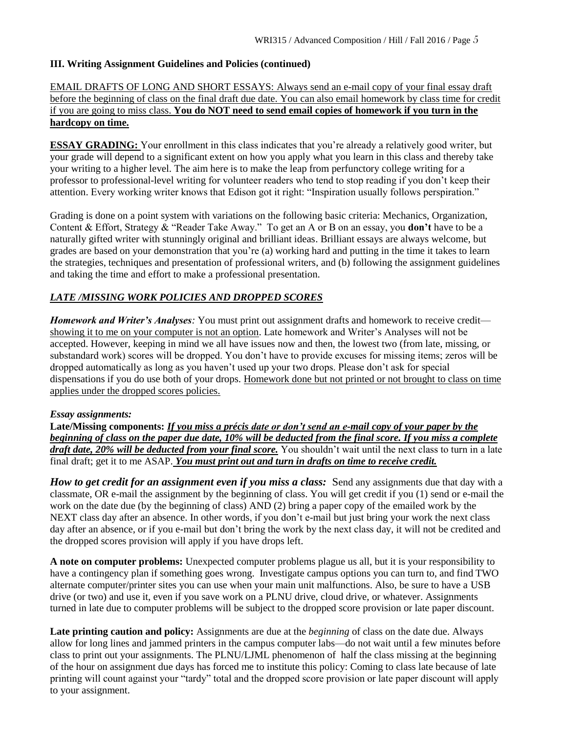#### **III. Writing Assignment Guidelines and Policies (continued)**

#### EMAIL DRAFTS OF LONG AND SHORT ESSAYS: Always send an e-mail copy of your final essay draft before the beginning of class on the final draft due date. You can also email homework by class time for credit if you are going to miss class. **You do NOT need to send email copies of homework if you turn in the hardcopy on time.**

**ESSAY GRADING:** Your enrollment in this class indicates that you're already a relatively good writer, but your grade will depend to a significant extent on how you apply what you learn in this class and thereby take your writing to a higher level. The aim here is to make the leap from perfunctory college writing for a professor to professional-level writing for volunteer readers who tend to stop reading if you don't keep their attention. Every working writer knows that Edison got it right: "Inspiration usually follows perspiration."

Grading is done on a point system with variations on the following basic criteria: Mechanics, Organization, Content & Effort, Strategy & "Reader Take Away." To get an A or B on an essay, you **don't** have to be a naturally gifted writer with stunningly original and brilliant ideas. Brilliant essays are always welcome, but grades are based on your demonstration that you're (a) working hard and putting in the time it takes to learn the strategies, techniques and presentation of professional writers, and (b) following the assignment guidelines and taking the time and effort to make a professional presentation.

#### *LATE /MISSING WORK POLICIES AND DROPPED SCORES*

*Homework and Writer's Analyses:* You must print out assignment drafts and homework to receive credit showing it to me on your computer is not an option. Late homework and Writer's Analyses will not be accepted. However, keeping in mind we all have issues now and then, the lowest two (from late, missing, or substandard work) scores will be dropped. You don't have to provide excuses for missing items; zeros will be dropped automatically as long as you haven't used up your two drops. Please don't ask for special dispensations if you do use both of your drops. Homework done but not printed or not brought to class on time applies under the dropped scores policies.

#### *Essay assignments:*

**Late/Missing components:** *If you miss a précis date or don't send an e-mail copy of your paper by the beginning of class on the paper due date, 10% will be deducted from the final score. If you miss a complete draft date, 20% will be deducted from your final score.* You shouldn't wait until the next class to turn in a late final draft; get it to me ASAP. *You must print out and turn in drafts on time to receive credit.*

*How to get credit for an assignment even if you miss a class:* Send any assignments due that day with a classmate, OR e-mail the assignment by the beginning of class. You will get credit if you (1) send or e-mail the work on the date due (by the beginning of class) AND (2) bring a paper copy of the emailed work by the NEXT class day after an absence. In other words, if you don't e-mail but just bring your work the next class day after an absence, or if you e-mail but don't bring the work by the next class day, it will not be credited and the dropped scores provision will apply if you have drops left.

**A note on computer problems:** Unexpected computer problems plague us all, but it is your responsibility to have a contingency plan if something goes wrong. Investigate campus options you can turn to, and find TWO alternate computer/printer sites you can use when your main unit malfunctions. Also, be sure to have a USB drive (or two) and use it, even if you save work on a PLNU drive, cloud drive, or whatever. Assignments turned in late due to computer problems will be subject to the dropped score provision or late paper discount.

**Late printing caution and policy:** Assignments are due at the *beginning* of class on the date due. Always allow for long lines and jammed printers in the campus computer labs—do not wait until a few minutes before class to print out your assignments. The PLNU/LJML phenomenon of half the class missing at the beginning of the hour on assignment due days has forced me to institute this policy: Coming to class late because of late printing will count against your "tardy" total and the dropped score provision or late paper discount will apply to your assignment.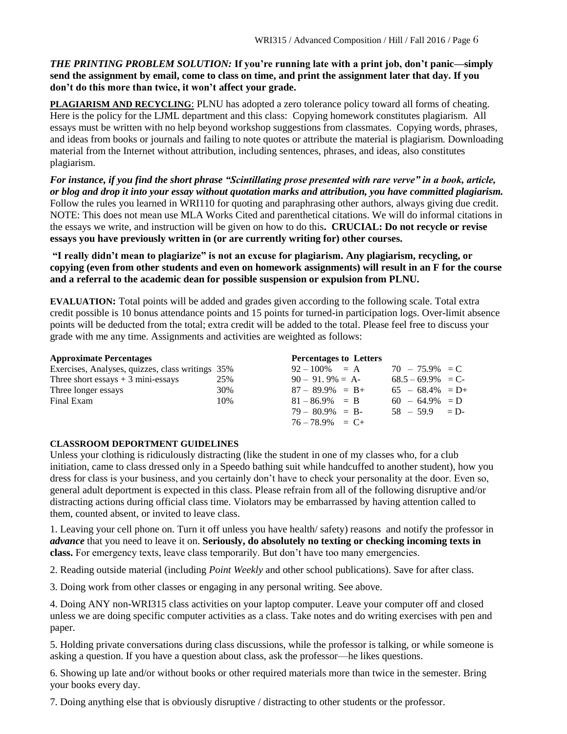#### *THE PRINTING PROBLEM SOLUTION:* **If you're running late with a print job, don't panic—simply send the assignment by email, come to class on time, and print the assignment later that day. If you don't do this more than twice, it won't affect your grade.**

**PLAGIARISM AND RECYCLING**: PLNU has adopted a zero tolerance policy toward all forms of cheating. Here is the policy for the LJML department and this class: Copying homework constitutes plagiarism. All essays must be written with no help beyond workshop suggestions from classmates. Copying words, phrases, and ideas from books or journals and failing to note quotes or attribute the material is plagiarism. Downloading material from the Internet without attribution, including sentences, phrases, and ideas, also constitutes plagiarism.

*For instance, if you find the short phrase "Scintillating prose presented with rare verve" in a book, article, or blog and drop it into your essay without quotation marks and attribution, you have committed plagiarism.* Follow the rules you learned in WRI110 for quoting and paraphrasing other authors, always giving due credit. NOTE: This does not mean use MLA Works Cited and parenthetical citations. We will do informal citations in the essays we write, and instruction will be given on how to do this**. CRUCIAL: Do not recycle or revise essays you have previously written in (or are currently writing for) other courses.** 

**"I really didn't mean to plagiarize" is not an excuse for plagiarism. Any plagiarism, recycling, or copying (even from other students and even on homework assignments) will result in an F for the course and a referral to the academic dean for possible suspension or expulsion from PLNU.**

**EVALUATION:** Total points will be added and grades given according to the following scale. Total extra credit possible is 10 bonus attendance points and 15 points for turned-in participation logs. Over-limit absence points will be deducted from the total; extra credit will be added to the total. Please feel free to discuss your grade with me any time. Assignments and activities are weighted as follows:

| <b>Approximate Percentages</b>                   |     | <b>Percentages to Letters</b> |                     |  |
|--------------------------------------------------|-----|-------------------------------|---------------------|--|
| Exercises, Analyses, quizzes, class writings 35% |     | $92 - 100\% = A$              | $70 - 75.9\% = C$   |  |
| Three short essays $+3$ mini-essays              | 25% | $90 - 91.9\% = A$             | $68.5 - 69.9\% = C$ |  |
| Three longer essays                              | 30% | $87 - 89.9\% = B +$           | $65 - 68.4\% = D +$ |  |
| Final Exam                                       | 10% | $81 - 86.9\% = B$             | $60 - 64.9\% = D$   |  |
|                                                  |     | $79 - 80.9\% = B$             | $58 - 59.9 = D$     |  |
|                                                  |     | $76 - 78.9\% = C +$           |                     |  |

# **CLASSROOM DEPORTMENT GUIDELINES**

Unless your clothing is ridiculously distracting (like the student in one of my classes who, for a club initiation, came to class dressed only in a Speedo bathing suit while handcuffed to another student), how you dress for class is your business, and you certainly don't have to check your personality at the door. Even so, general adult deportment is expected in this class. Please refrain from all of the following disruptive and/or distracting actions during official class time. Violators may be embarrassed by having attention called to them, counted absent, or invited to leave class.

1. Leaving your cell phone on. Turn it off unless you have health/ safety) reasons and notify the professor in *advance* that you need to leave it on. **Seriously, do absolutely no texting or checking incoming texts in class.** For emergency texts, leave class temporarily. But don't have too many emergencies.

2. Reading outside material (including *Point Weekly* and other school publications). Save for after class.

3. Doing work from other classes or engaging in any personal writing. See above.

4. Doing ANY non-WRI315 class activities on your laptop computer. Leave your computer off and closed unless we are doing specific computer activities as a class. Take notes and do writing exercises with pen and paper.

5. Holding private conversations during class discussions, while the professor is talking, or while someone is asking a question. If you have a question about class, ask the professor—he likes questions.

6. Showing up late and/or without books or other required materials more than twice in the semester. Bring your books every day.

7. Doing anything else that is obviously disruptive / distracting to other students or the professor.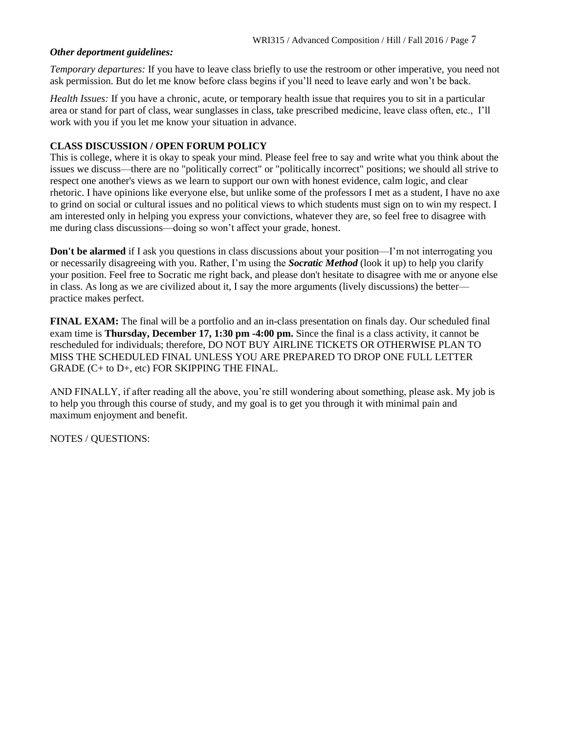#### *Other deportment guidelines:*

*Temporary departures:* If you have to leave class briefly to use the restroom or other imperative, you need not ask permission. But do let me know before class begins if you'll need to leave early and won't be back.

*Health Issues:* If you have a chronic, acute, or temporary health issue that requires you to sit in a particular area or stand for part of class, wear sunglasses in class, take prescribed medicine, leave class often, etc., I'll work with you if you let me know your situation in advance.

#### **CLASS DISCUSSION / OPEN FORUM POLICY**

This is college, where it is okay to speak your mind. Please feel free to say and write what you think about the issues we discuss—there are no "politically correct" or "politically incorrect" positions; we should all strive to respect one another's views as we learn to support our own with honest evidence, calm logic, and clear rhetoric. I have opinions like everyone else, but unlike some of the professors I met as a student, I have no axe to grind on social or cultural issues and no political views to which students must sign on to win my respect. I am interested only in helping you express your convictions, whatever they are, so feel free to disagree with me during class discussions—doing so won't affect your grade, honest.

**Don't be alarmed** if I ask you questions in class discussions about your position—I'm not interrogating you or necessarily disagreeing with you. Rather, I'm using the *Socratic Method* (look it up) to help you clarify your position. Feel free to Socratic me right back, and please don't hesitate to disagree with me or anyone else in class. As long as we are civilized about it, I say the more arguments (lively discussions) the better practice makes perfect.

**FINAL EXAM:** The final will be a portfolio and an in-class presentation on finals day. Our scheduled final exam time is **Thursday, December 17, 1:30 pm -4:00 pm.** Since the final is a class activity, it cannot be rescheduled for individuals; therefore, DO NOT BUY AIRLINE TICKETS OR OTHERWISE PLAN TO MISS THE SCHEDULED FINAL UNLESS YOU ARE PREPARED TO DROP ONE FULL LETTER GRADE (C+ to D+, etc) FOR SKIPPING THE FINAL.

AND FINALLY, if after reading all the above, you're still wondering about something, please ask. My job is to help you through this course of study, and my goal is to get you through it with minimal pain and maximum enjoyment and benefit.

NOTES / QUESTIONS: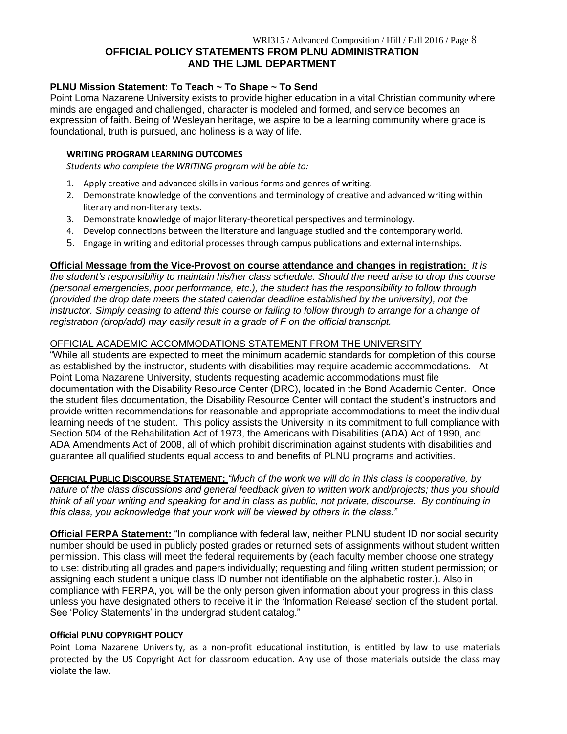#### **OFFICIAL POLICY STATEMENTS FROM PLNU ADMINISTRATION AND THE LJML DEPARTMENT**

#### **PLNU Mission Statement: To Teach ~ To Shape ~ To Send**

Point Loma Nazarene University exists to provide higher education in a vital Christian community where minds are engaged and challenged, character is modeled and formed, and service becomes an expression of faith. Being of Wesleyan heritage, we aspire to be a learning community where grace is foundational, truth is pursued, and holiness is a way of life.

#### **WRITING PROGRAM LEARNING OUTCOMES**

*Students who complete the WRITING program will be able to:*

- 1. Apply creative and advanced skills in various forms and genres of writing.
- 2. Demonstrate knowledge of the conventions and terminology of creative and advanced writing within literary and non-literary texts.
- 3. Demonstrate knowledge of major literary-theoretical perspectives and terminology.
- 4. Develop connections between the literature and language studied and the contemporary world.
- 5. Engage in writing and editorial processes through campus publications and external internships.

#### **Official Message from the Vice-Provost on course attendance and changes in registration:** *It is*

*the student's responsibility to maintain his/her class schedule. Should the need arise to drop this course (personal emergencies, poor performance, etc.), the student has the responsibility to follow through (provided the drop date meets the stated calendar deadline established by the university), not the*  instructor. Simply ceasing to attend this course or failing to follow through to arrange for a change of *registration (drop/add) may easily result in a grade of F on the official transcript.*

#### OFFICIAL ACADEMIC ACCOMMODATIONS STATEMENT FROM THE UNIVERSITY

"While all students are expected to meet the minimum academic standards for completion of this course as established by the instructor, students with disabilities may require academic accommodations. At Point Loma Nazarene University, students requesting academic accommodations must file documentation with the Disability Resource Center (DRC), located in the Bond Academic Center. Once the student files documentation, the Disability Resource Center will contact the student's instructors and provide written recommendations for reasonable and appropriate accommodations to meet the individual learning needs of the student. This policy assists the University in its commitment to full compliance with Section 504 of the Rehabilitation Act of 1973, the Americans with Disabilities (ADA) Act of 1990, and ADA Amendments Act of 2008, all of which prohibit discrimination against students with disabilities and guarantee all qualified students equal access to and benefits of PLNU programs and activities.

**OFFICIAL PUBLIC DISCOURSE STATEMENT:** *"Much of the work we will do in this class is cooperative, by nature of the class discussions and general feedback given to written work and/projects; thus you should think of all your writing and speaking for and in class as public, not private, discourse. By continuing in this class, you acknowledge that your work will be viewed by others in the class."*

**Official FERPA Statement:** "In compliance with federal law, neither PLNU student ID nor social security number should be used in publicly posted grades or returned sets of assignments without student written permission. This class will meet the federal requirements by (each faculty member choose one strategy to use: distributing all grades and papers individually; requesting and filing written student permission; or assigning each student a unique class ID number not identifiable on the alphabetic roster.). Also in compliance with FERPA, you will be the only person given information about your progress in this class unless you have designated others to receive it in the 'Information Release' section of the student portal. See 'Policy Statements' in the undergrad student catalog."

#### **Official PLNU COPYRIGHT POLICY**

Point Loma Nazarene University, as a non-profit educational institution, is entitled by law to use materials protected by the US Copyright Act for classroom education. Any use of those materials outside the class may violate the law.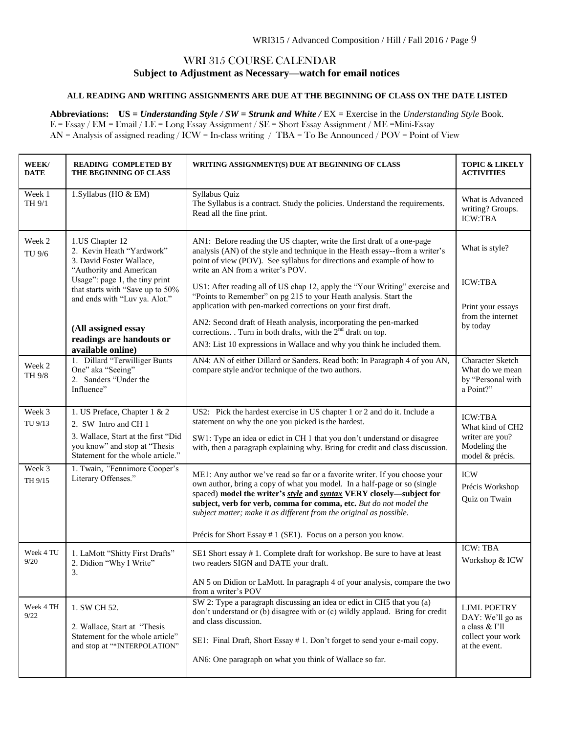#### WRI 315 COURSE CALENDAR **Subject to Adjustment as Necessary—watch for email notices**

#### **ALL READING AND WRITING ASSIGNMENTS ARE DUE AT THE BEGINNING OF CLASS ON THE DATE LISTED**

**Abbreviations: US =** *Understanding Style / SW = Strunk and White /* EX = Exercise in the *Understanding Style* Book. E = Essay / EM = Email / LE = Long Essay Assignment / SE = Short Essay Assignment / ME =Mini-Essay AN = Analysis of assigned reading / ICW = In-class writing / TBA = To Be Announced / POV = Point of View

| WEEK/<br><b>DATE</b> | <b>READING COMPLETED BY</b><br>THE BEGINNING OF CLASS                                                                                                                                                      | WRITING ASSIGNMENT(S) DUE AT BEGINNING OF CLASS                                                                                                                                                                                                                                                                                                                                                                                                                                          | <b>TOPIC &amp; LIKELY</b><br><b>ACTIVITIES</b>                                                 |
|----------------------|------------------------------------------------------------------------------------------------------------------------------------------------------------------------------------------------------------|------------------------------------------------------------------------------------------------------------------------------------------------------------------------------------------------------------------------------------------------------------------------------------------------------------------------------------------------------------------------------------------------------------------------------------------------------------------------------------------|------------------------------------------------------------------------------------------------|
| Week 1<br>TH 9/1     | 1.Syllabus (HO & EM)                                                                                                                                                                                       | Syllabus Quiz<br>The Syllabus is a contract. Study the policies. Understand the requirements.<br>Read all the fine print.                                                                                                                                                                                                                                                                                                                                                                | What is Advanced<br>writing? Groups.<br><b>ICW:TBA</b>                                         |
| Week 2<br>TU 9/6     | 1.US Chapter 12<br>2. Kevin Heath "Yardwork"<br>3. David Foster Wallace,<br>"Authority and American<br>Usage": page 1, the tiny print<br>that starts with "Save up to 50%<br>and ends with "Luv ya. Alot." | AN1: Before reading the US chapter, write the first draft of a one-page<br>analysis (AN) of the style and technique in the Heath essay--from a writer's<br>point of view (POV). See syllabus for directions and example of how to<br>write an AN from a writer's POV.<br>US1: After reading all of US chap 12, apply the "Your Writing" exercise and<br>"Points to Remember" on pg 215 to your Heath analysis. Start the<br>application with pen-marked corrections on your first draft. | What is style?<br><b>ICW:TBA</b>                                                               |
|                      | (All assigned essay<br>readings are handouts or<br>available online)                                                                                                                                       | AN2: Second draft of Heath analysis, incorporating the pen-marked<br>corrections. Turn in both drafts, with the $2nd$ draft on top.<br>AN3: List 10 expressions in Wallace and why you think he included them.                                                                                                                                                                                                                                                                           | Print your essays<br>from the internet<br>by today                                             |
| Week 2<br>TH 9/8     | 1. Dillard "Terwilliger Bunts<br>One" aka "Seeing"<br>2. Sanders "Under the<br>Influence"                                                                                                                  | AN4: AN of either Dillard or Sanders. Read both: In Paragraph 4 of you AN,<br>compare style and/or technique of the two authors.                                                                                                                                                                                                                                                                                                                                                         | <b>Character Sketch</b><br>What do we mean<br>by "Personal with<br>a Point?"                   |
| Week 3<br>TU 9/13    | 1. US Preface, Chapter 1 & 2<br>2. SW Intro and CH 1<br>3. Wallace, Start at the first "Did<br>you know" and stop at "Thesis<br>Statement for the whole article."                                          | US2: Pick the hardest exercise in US chapter 1 or 2 and do it. Include a<br>statement on why the one you picked is the hardest.<br>SW1: Type an idea or edict in CH 1 that you don't understand or disagree<br>with, then a paragraph explaining why. Bring for credit and class discussion.                                                                                                                                                                                             | <b>ICW:TBA</b><br>What kind of CH2<br>writer are you?<br>Modeling the<br>model & précis.       |
| Week 3<br>TH 9/15    | 1. Twain, "Fennimore Cooper's<br>Literary Offenses."                                                                                                                                                       | ME1: Any author we've read so far or a favorite writer. If you choose your<br>own author, bring a copy of what you model. In a half-page or so (single<br>spaced) model the writer's style and syntax VERY closely-subject for<br>subject, verb for verb, comma for comma, etc. But do not model the<br>subject matter; make it as different from the original as possible.<br>Précis for Short Essay # 1 (SE1). Focus on a person you know.                                             | <b>ICW</b><br>Précis Workshop<br>Quiz on Twain                                                 |
| Week 4 TU<br>9/20    | 1. LaMott "Shitty First Drafts"<br>2. Didion "Why I Write"<br>3.                                                                                                                                           | SE1 Short essay #1. Complete draft for workshop. Be sure to have at least<br>two readers SIGN and DATE your draft.<br>AN 5 on Didion or LaMott. In paragraph 4 of your analysis, compare the two<br>from a writer's POV                                                                                                                                                                                                                                                                  | <b>ICW: TBA</b><br>Workshop & ICW                                                              |
| Week 4 TH<br>9/22    | 1. SW CH 52.<br>2. Wallace, Start at "Thesis<br>Statement for the whole article"<br>and stop at "*INTERPOLATION"                                                                                           | SW 2: Type a paragraph discussing an idea or edict in CH5 that you (a)<br>don't understand or (b) disagree with or (c) wildly applaud. Bring for credit<br>and class discussion.<br>SE1: Final Draft, Short Essay #1. Don't forget to send your e-mail copy.<br>AN6: One paragraph on what you think of Wallace so far.                                                                                                                                                                  | <b>LJML POETRY</b><br>DAY: We'll go as<br>a class & I'll<br>collect your work<br>at the event. |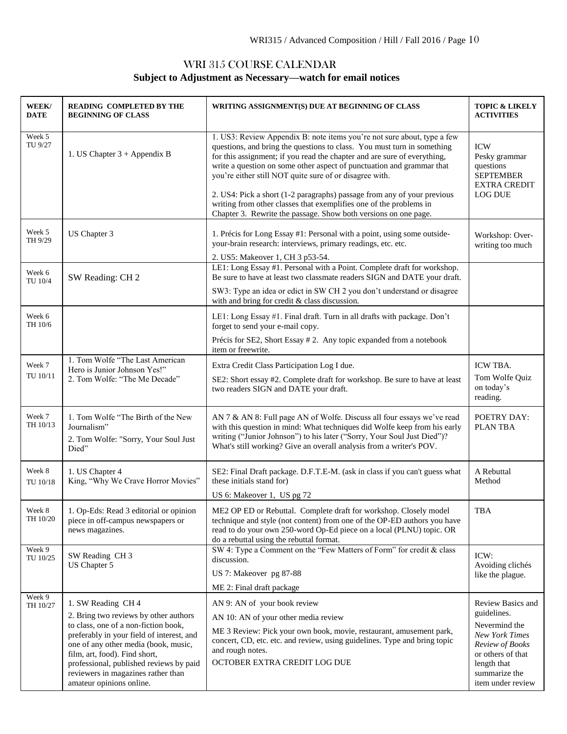# WRI 315 COURSE CALENDAR **Subject to Adjustment as Necessary—watch for email notices**

| WEEK/<br>DATE      | <b>READING COMPLETED BY THE</b><br><b>BEGINNING OF CLASS</b>                                                                                                                                                                                                                                                                           | WRITING ASSIGNMENT(S) DUE AT BEGINNING OF CLASS                                                                                                                                                                                                                                                                                                                                                                                                                                                                                                                                        | <b>TOPIC &amp; LIKELY</b><br><b>ACTIVITIES</b>                                                                                                                          |
|--------------------|----------------------------------------------------------------------------------------------------------------------------------------------------------------------------------------------------------------------------------------------------------------------------------------------------------------------------------------|----------------------------------------------------------------------------------------------------------------------------------------------------------------------------------------------------------------------------------------------------------------------------------------------------------------------------------------------------------------------------------------------------------------------------------------------------------------------------------------------------------------------------------------------------------------------------------------|-------------------------------------------------------------------------------------------------------------------------------------------------------------------------|
| Week 5<br>TU 9/27  | 1. US Chapter $3 +$ Appendix B                                                                                                                                                                                                                                                                                                         | 1. US3: Review Appendix B: note items you're not sure about, type a few<br>questions, and bring the questions to class. You must turn in something<br>for this assignment; if you read the chapter and are sure of everything,<br>write a question on some other aspect of punctuation and grammar that<br>you're either still NOT quite sure of or disagree with.<br>2. US4: Pick a short (1-2 paragraphs) passage from any of your previous<br>writing from other classes that exemplifies one of the problems in<br>Chapter 3. Rewrite the passage. Show both versions on one page. | <b>ICW</b><br>Pesky grammar<br>questions<br><b>SEPTEMBER</b><br><b>EXTRA CREDIT</b><br><b>LOG DUE</b>                                                                   |
| Week 5<br>TH 9/29  | US Chapter 3                                                                                                                                                                                                                                                                                                                           | 1. Précis for Long Essay #1: Personal with a point, using some outside-<br>your-brain research: interviews, primary readings, etc. etc.<br>2. US5: Makeover 1, CH 3 p53-54.                                                                                                                                                                                                                                                                                                                                                                                                            | Workshop: Over-<br>writing too much                                                                                                                                     |
| Week 6<br>TU 10/4  | SW Reading: CH 2                                                                                                                                                                                                                                                                                                                       | LE1: Long Essay #1. Personal with a Point. Complete draft for workshop.<br>Be sure to have at least two classmate readers SIGN and DATE your draft.<br>SW3: Type an idea or edict in SW CH 2 you don't understand or disagree<br>with and bring for credit & class discussion.                                                                                                                                                                                                                                                                                                         |                                                                                                                                                                         |
| Week 6<br>TH 10/6  |                                                                                                                                                                                                                                                                                                                                        | LE1: Long Essay #1. Final draft. Turn in all drafts with package. Don't<br>forget to send your e-mail copy.<br>Précis for SE2, Short Essay # 2. Any topic expanded from a notebook<br>item or freewrite.                                                                                                                                                                                                                                                                                                                                                                               |                                                                                                                                                                         |
| Week 7<br>TU 10/11 | 1. Tom Wolfe "The Last American<br>Hero is Junior Johnson Yes!"<br>2. Tom Wolfe: "The Me Decade"                                                                                                                                                                                                                                       | Extra Credit Class Participation Log I due.<br>SE2: Short essay #2. Complete draft for workshop. Be sure to have at least<br>two readers SIGN and DATE your draft.                                                                                                                                                                                                                                                                                                                                                                                                                     | ICW TBA.<br>Tom Wolfe Quiz<br>on today's<br>reading.                                                                                                                    |
| Week 7<br>TH 10/13 | 1. Tom Wolfe "The Birth of the New<br>Journalism"<br>2. Tom Wolfe: "Sorry, Your Soul Just<br>Died"                                                                                                                                                                                                                                     | AN 7 & AN 8: Full page AN of Wolfe. Discuss all four essays we've read<br>with this question in mind: What techniques did Wolfe keep from his early<br>writing ("Junior Johnson") to his later ("Sorry, Your Soul Just Died")?<br>What's still working? Give an overall analysis from a writer's POV.                                                                                                                                                                                                                                                                                  | POETRY DAY:<br><b>PLANTBA</b>                                                                                                                                           |
| Week 8<br>TU 10/18 | 1. US Chapter 4<br>King, "Why We Crave Horror Movies"                                                                                                                                                                                                                                                                                  | SE2: Final Draft package. D.F.T.E-M. (ask in class if you can't guess what<br>these initials stand for)<br>US 6: Makeover 1, US pg 72                                                                                                                                                                                                                                                                                                                                                                                                                                                  | A Rebuttal<br>Method                                                                                                                                                    |
| Week 8<br>TH 10/20 | 1. Op-Eds: Read 3 editorial or opinion<br>piece in off-campus newspapers or<br>news magazines.                                                                                                                                                                                                                                         | ME2 OP ED or Rebuttal. Complete draft for workshop. Closely model<br>technique and style (not content) from one of the OP-ED authors you have<br>read to do your own 250-word Op-Ed piece on a local (PLNU) topic. OR<br>do a rebuttal using the rebuttal format.                                                                                                                                                                                                                                                                                                                      | TBA                                                                                                                                                                     |
| Week 9<br>TU 10/25 | SW Reading CH 3<br>US Chapter 5                                                                                                                                                                                                                                                                                                        | SW 4: Type a Comment on the "Few Matters of Form" for credit & class<br>discussion.<br>US 7: Makeover pg 87-88<br>ME 2: Final draft package                                                                                                                                                                                                                                                                                                                                                                                                                                            | ICW:<br>Avoiding clichés<br>like the plague.                                                                                                                            |
| Week 9<br>TH 10/27 | 1. SW Reading CH 4<br>2. Bring two reviews by other authors<br>to class, one of a non-fiction book,<br>preferably in your field of interest, and<br>one of any other media (book, music,<br>film, art, food). Find short,<br>professional, published reviews by paid<br>reviewers in magazines rather than<br>amateur opinions online. | AN 9: AN of your book review<br>AN 10: AN of your other media review<br>ME 3 Review: Pick your own book, movie, restaurant, amusement park,<br>concert, CD, etc. etc. and review, using guidelines. Type and bring topic<br>and rough notes.<br>OCTOBER EXTRA CREDIT LOG DUE                                                                                                                                                                                                                                                                                                           | Review Basics and<br>guidelines.<br>Nevermind the<br><b>New York Times</b><br>Review of Books<br>or others of that<br>length that<br>summarize the<br>item under review |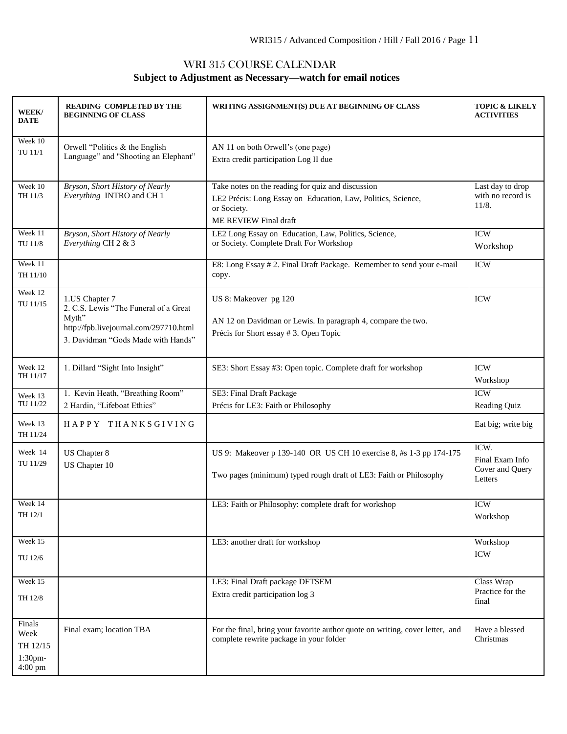# WRI 315 COURSE CALENDAR **Subject to Adjustment as Necessary—watch for email notices**

| WEEK/<br><b>DATE</b>                             | READING COMPLETED BY THE<br><b>BEGINNING OF CLASS</b>                                                                                            | WRITING ASSIGNMENT(S) DUE AT BEGINNING OF CLASS                                                                                                           | <b>TOPIC &amp; LIKELY</b><br><b>ACTIVITIES</b>        |
|--------------------------------------------------|--------------------------------------------------------------------------------------------------------------------------------------------------|-----------------------------------------------------------------------------------------------------------------------------------------------------------|-------------------------------------------------------|
| Week 10<br>TU 11/1                               | Orwell "Politics $&$ the English<br>Language" and "Shooting an Elephant"                                                                         | AN 11 on both Orwell's (one page)<br>Extra credit participation Log II due                                                                                |                                                       |
| Week 10<br>TH 11/3                               | Bryson, Short History of Nearly<br>Everything INTRO and CH 1                                                                                     | Take notes on the reading for quiz and discussion<br>LE2 Précis: Long Essay on Education, Law, Politics, Science,<br>or Society.<br>ME REVIEW Final draft | Last day to drop<br>with no record is<br>11/8.        |
| Week 11<br>TU 11/8                               | Bryson, Short History of Nearly<br>Everything CH 2 & 3                                                                                           | LE2 Long Essay on Education, Law, Politics, Science,<br>or Society. Complete Draft For Workshop                                                           | <b>ICW</b><br>Workshop                                |
| Week 11<br>TH 11/10                              |                                                                                                                                                  | E8: Long Essay #2. Final Draft Package. Remember to send your e-mail<br>copy.                                                                             | <b>ICW</b>                                            |
| Week 12<br>TU 11/15                              | 1.US Chapter 7<br>2. C.S. Lewis "The Funeral of a Great<br>Myth"<br>http://fpb.livejournal.com/297710.html<br>3. Davidman "Gods Made with Hands" | US 8: Makeover pg 120<br>AN 12 on Davidman or Lewis. In paragraph 4, compare the two.<br>Précis for Short essay # 3. Open Topic                           | <b>ICW</b>                                            |
| Week 12<br>TH 11/17                              | 1. Dillard "Sight Into Insight"                                                                                                                  | SE3: Short Essay #3: Open topic. Complete draft for workshop                                                                                              | <b>ICW</b><br>Workshop                                |
| Week 13<br>TU 11/22                              | 1. Kevin Heath, "Breathing Room"<br>2 Hardin, "Lifeboat Ethics"                                                                                  | SE3: Final Draft Package<br>Précis for LE3: Faith or Philosophy                                                                                           | <b>ICW</b><br>Reading Quiz                            |
| Week 13<br>TH 11/24                              | HAPPY THANKSGIVING                                                                                                                               |                                                                                                                                                           | Eat big; write big                                    |
| Week 14<br>TU 11/29                              | US Chapter 8<br>US Chapter 10                                                                                                                    | US 9: Makeover p 139-140 OR US CH 10 exercise 8, #s 1-3 pp 174-175<br>Two pages (minimum) typed rough draft of LE3: Faith or Philosophy                   | ICW.<br>Final Exam Info<br>Cover and Query<br>Letters |
| Week 14<br>TH 12/1                               |                                                                                                                                                  | LE3: Faith or Philosophy: complete draft for workshop                                                                                                     | <b>ICW</b><br>Workshop                                |
| Week 15<br>TU 12/6                               |                                                                                                                                                  | LE3: another draft for workshop                                                                                                                           | Workshop<br><b>ICW</b>                                |
| Week 15<br>TH 12/8                               |                                                                                                                                                  | LE3: Final Draft package DFTSEM<br>Extra credit participation log 3                                                                                       | Class Wrap<br>Practice for the<br>final               |
| Finals<br>Week<br>TH 12/15<br>1:30pm-<br>4:00 pm | Final exam; location TBA                                                                                                                         | For the final, bring your favorite author quote on writing, cover letter, and<br>complete rewrite package in your folder                                  | Have a blessed<br>Christmas                           |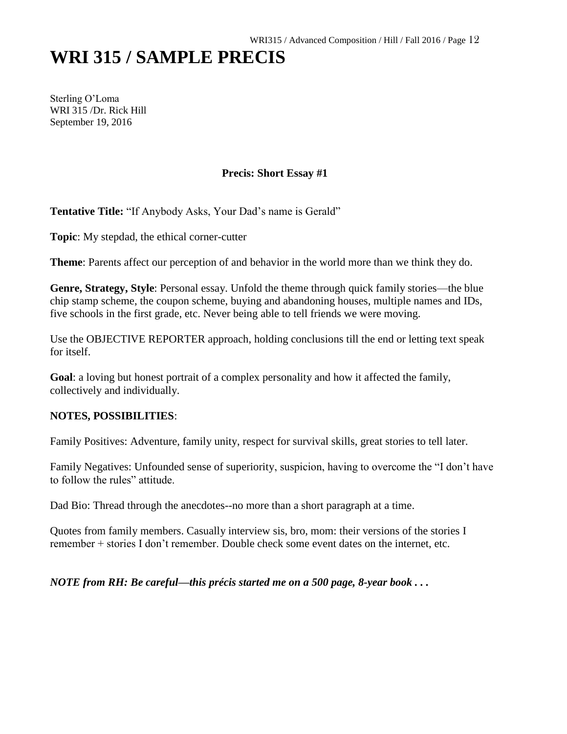# **WRI 315 / SAMPLE PRECIS**

Sterling O'Loma WRI 315 /Dr. Rick Hill September 19, 2016

# **Precis: Short Essay #1**

**Tentative Title:** "If Anybody Asks, Your Dad's name is Gerald"

**Topic**: My stepdad, the ethical corner-cutter

**Theme**: Parents affect our perception of and behavior in the world more than we think they do.

**Genre, Strategy, Style**: Personal essay. Unfold the theme through quick family stories—the blue chip stamp scheme, the coupon scheme, buying and abandoning houses, multiple names and IDs, five schools in the first grade, etc. Never being able to tell friends we were moving.

Use the OBJECTIVE REPORTER approach, holding conclusions till the end or letting text speak for itself.

**Goal**: a loving but honest portrait of a complex personality and how it affected the family, collectively and individually.

# **NOTES, POSSIBILITIES**:

Family Positives: Adventure, family unity, respect for survival skills, great stories to tell later.

Family Negatives: Unfounded sense of superiority, suspicion, having to overcome the "I don't have to follow the rules" attitude.

Dad Bio: Thread through the anecdotes--no more than a short paragraph at a time.

Quotes from family members. Casually interview sis, bro, mom: their versions of the stories I remember + stories I don't remember. Double check some event dates on the internet, etc.

*NOTE from RH: Be careful—this précis started me on a 500 page, 8-year book . . .*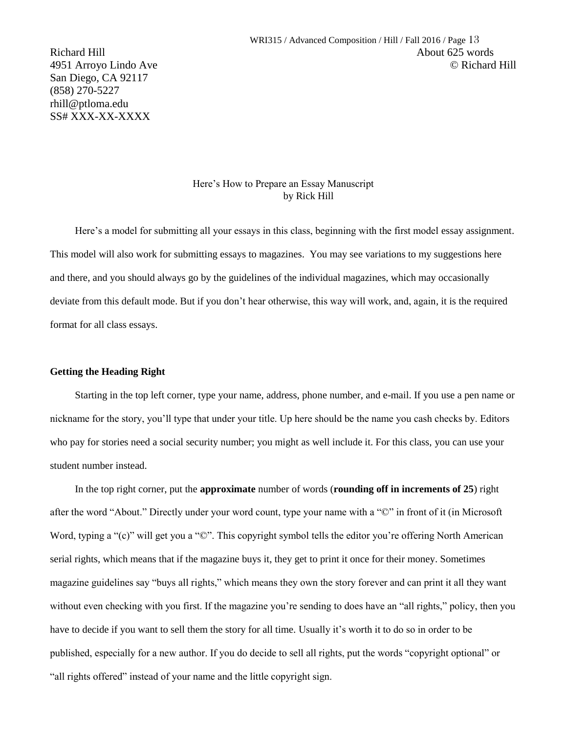San Diego, CA 92117 (858) 270-5227 rhill@ptloma.edu SS# XXX-XX-XXXX

#### Here's How to Prepare an Essay Manuscript by Rick Hill

Here's a model for submitting all your essays in this class, beginning with the first model essay assignment. This model will also work for submitting essays to magazines. You may see variations to my suggestions here and there, and you should always go by the guidelines of the individual magazines, which may occasionally deviate from this default mode. But if you don't hear otherwise, this way will work, and, again, it is the required format for all class essays.

#### **Getting the Heading Right**

Starting in the top left corner, type your name, address, phone number, and e-mail. If you use a pen name or nickname for the story, you'll type that under your title. Up here should be the name you cash checks by. Editors who pay for stories need a social security number; you might as well include it. For this class, you can use your student number instead.

In the top right corner, put the **approximate** number of words (**rounding off in increments of 25**) right after the word "About." Directly under your word count, type your name with a "©" in front of it (in Microsoft Word, typing a "(c)" will get you a " $\mathbb{O}$ ". This copyright symbol tells the editor you're offering North American serial rights, which means that if the magazine buys it, they get to print it once for their money. Sometimes magazine guidelines say "buys all rights," which means they own the story forever and can print it all they want without even checking with you first. If the magazine you're sending to does have an "all rights," policy, then you have to decide if you want to sell them the story for all time. Usually it's worth it to do so in order to be published, especially for a new author. If you do decide to sell all rights, put the words "copyright optional" or "all rights offered" instead of your name and the little copyright sign.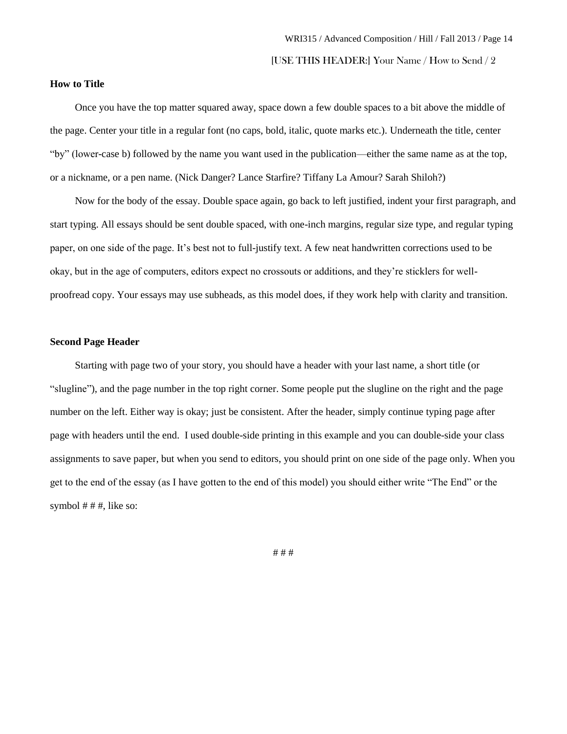#### **How to Title**

Once you have the top matter squared away, space down a few double spaces to a bit above the middle of the page. Center your title in a regular font (no caps, bold, italic, quote marks etc.). Underneath the title, center "by" (lower-case b) followed by the name you want used in the publication—either the same name as at the top, or a nickname, or a pen name. (Nick Danger? Lance Starfire? Tiffany La Amour? Sarah Shiloh?)

Now for the body of the essay. Double space again, go back to left justified, indent your first paragraph, and start typing. All essays should be sent double spaced, with one-inch margins, regular size type, and regular typing paper, on one side of the page. It's best not to full-justify text. A few neat handwritten corrections used to be okay, but in the age of computers, editors expect no crossouts or additions, and they're sticklers for wellproofread copy. Your essays may use subheads, as this model does, if they work help with clarity and transition.

#### **Second Page Header**

Starting with page two of your story, you should have a header with your last name, a short title (or "slugline"), and the page number in the top right corner. Some people put the slugline on the right and the page number on the left. Either way is okay; just be consistent. After the header, simply continue typing page after page with headers until the end. I used double-side printing in this example and you can double-side your class assignments to save paper, but when you send to editors, you should print on one side of the page only. When you get to the end of the essay (as I have gotten to the end of this model) you should either write "The End" or the symbol  $# #$ , like so:

# # #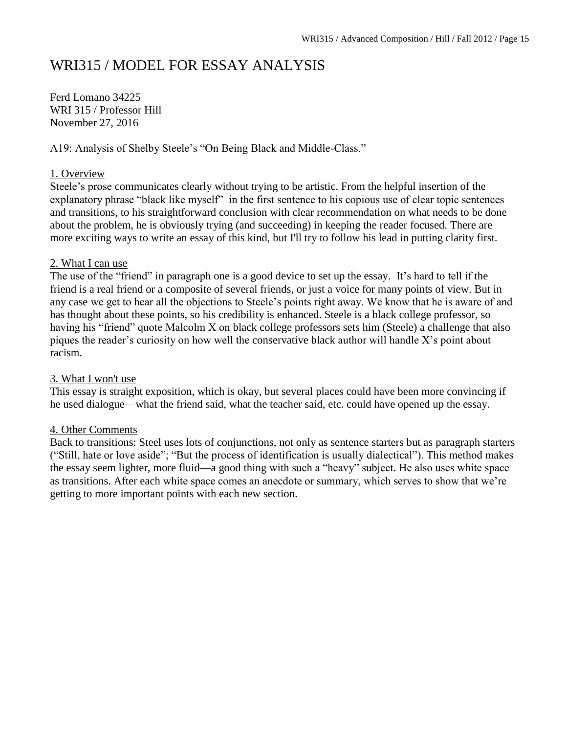# WRI315 / MODEL FOR ESSAY ANALYSIS

Ferd Lomano 34225 WRI 315 / Professor Hill November 27, 2016

A19: Analysis of Shelby Steele's "On Being Black and Middle-Class."

# 1. Overview

Steele's prose communicates clearly without trying to be artistic. From the helpful insertion of the explanatory phrase "black like myself" in the first sentence to his copious use of clear topic sentences and transitions, to his straightforward conclusion with clear recommendation on what needs to be done about the problem, he is obviously trying (and succeeding) in keeping the reader focused. There are more exciting ways to write an essay of this kind, but I'll try to follow his lead in putting clarity first.

# 2. What I can use

The use of the "friend" in paragraph one is a good device to set up the essay. It's hard to tell if the friend is a real friend or a composite of several friends, or just a voice for many points of view. But in any case we get to hear all the objections to Steele's points right away. We know that he is aware of and has thought about these points, so his credibility is enhanced. Steele is a black college professor, so having his "friend" quote Malcolm X on black college professors sets him (Steele) a challenge that also piques the reader's curiosity on how well the conservative black author will handle X's point about racism.

# 3. What I won't use

This essay is straight exposition, which is okay, but several places could have been more convincing if he used dialogue—what the friend said, what the teacher said, etc. could have opened up the essay.

# 4. Other Comments

Back to transitions: Steel uses lots of conjunctions, not only as sentence starters but as paragraph starters ("Still, hate or love aside"; "But the process of identification is usually dialectical"). This method makes the essay seem lighter, more fluid—a good thing with such a "heavy" subject. He also uses white space as transitions. After each white space comes an anecdote or summary, which serves to show that we're getting to more important points with each new section.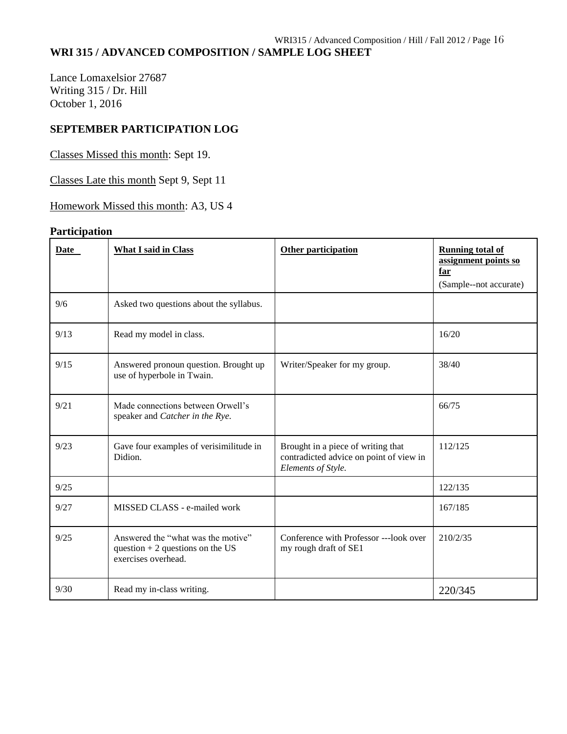# **WRI 315 / ADVANCED COMPOSITION / SAMPLE LOG SHEET**

Lance Lomaxelsior 27687 Writing 315 / Dr. Hill October 1, 2016

# **SEPTEMBER PARTICIPATION LOG**

Classes Missed this month: Sept 19.

Classes Late this month Sept 9, Sept 11

Homework Missed this month: A3, US 4

# **Participation**

| Date | <b>What I said in Class</b>                                                                    | <b>Other participation</b>                                                                          | <b>Running total of</b><br>assignment points so<br>far<br>(Sample--not accurate) |
|------|------------------------------------------------------------------------------------------------|-----------------------------------------------------------------------------------------------------|----------------------------------------------------------------------------------|
| 9/6  | Asked two questions about the syllabus.                                                        |                                                                                                     |                                                                                  |
| 9/13 | Read my model in class.                                                                        |                                                                                                     | 16/20                                                                            |
| 9/15 | Answered pronoun question. Brought up<br>use of hyperbole in Twain.                            | Writer/Speaker for my group.                                                                        | 38/40                                                                            |
| 9/21 | Made connections between Orwell's<br>speaker and Catcher in the Rye.                           |                                                                                                     | 66/75                                                                            |
| 9/23 | Gave four examples of verisimilitude in<br>Didion.                                             | Brought in a piece of writing that<br>contradicted advice on point of view in<br>Elements of Style. | 112/125                                                                          |
| 9/25 |                                                                                                |                                                                                                     | 122/135                                                                          |
| 9/27 | MISSED CLASS - e-mailed work                                                                   |                                                                                                     | 167/185                                                                          |
| 9/25 | Answered the "what was the motive"<br>question $+2$ questions on the US<br>exercises overhead. | Conference with Professor ---look over<br>my rough draft of SE1                                     | 210/2/35                                                                         |
| 9/30 | Read my in-class writing.                                                                      |                                                                                                     | 220/345                                                                          |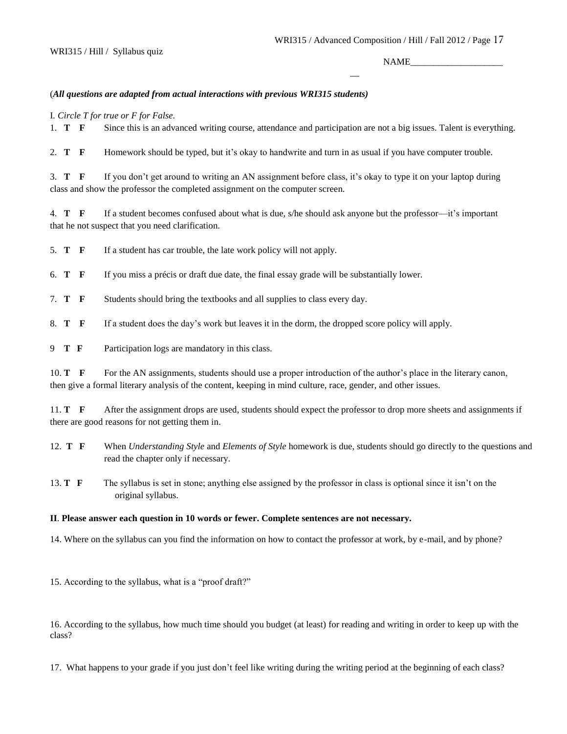$\overline{a}$ 

NAME

#### (*All questions are adapted from actual interactions with previous WRI315 students)*

I*. Circle T for true or F for False.* 

1. **T F** Since this is an advanced writing course, attendance and participation are not a big issues. Talent is everything.

2. **T F** Homework should be typed, but it's okay to handwrite and turn in as usual if you have computer trouble.

3. **T F** If you don't get around to writing an AN assignment before class, it's okay to type it on your laptop during class and show the professor the completed assignment on the computer screen.

4. **T F** If a student becomes confused about what is due, s/he should ask anyone but the professor—it's important that he not suspect that you need clarification.

5. **T F** If a student has car trouble, the late work policy will not apply.

6. **T F** If you miss a précis or draft due date, the final essay grade will be substantially lower.

7. **T F** Students should bring the textbooks and all supplies to class every day.

8. **T F** If a student does the day's work but leaves it in the dorm, the dropped score policy will apply.

9 **T F** Participation logs are mandatory in this class.

10. **T** F For the AN assignments, students should use a proper introduction of the author's place in the literary canon, then give a formal literary analysis of the content, keeping in mind culture, race, gender, and other issues.

11. **T** F After the assignment drops are used, students should expect the professor to drop more sheets and assignments if there are good reasons for not getting them in.

12. **T F** When *Understanding Style* and *Elements of Style* homework is due, students should go directly to the questions and read the chapter only if necessary.

13. **T F** The syllabus is set in stone; anything else assigned by the professor in class is optional since it isn't on the original syllabus.

#### **II**. **Please answer each question in 10 words or fewer. Complete sentences are not necessary***.*

14. Where on the syllabus can you find the information on how to contact the professor at work, by e-mail, and by phone?

15. According to the syllabus, what is a "proof draft?"

16. According to the syllabus, how much time should you budget (at least) for reading and writing in order to keep up with the class?

17. What happens to your grade if you just don't feel like writing during the writing period at the beginning of each class?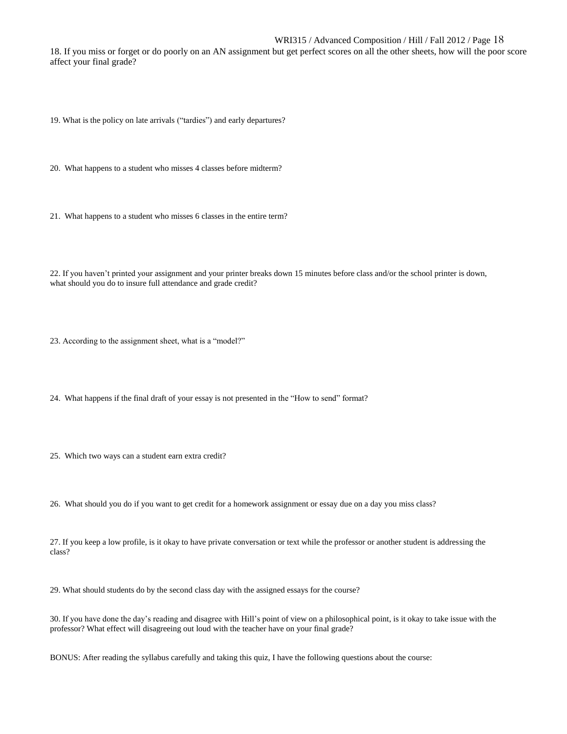#### WRI315 / Advanced Composition / Hill / Fall 2012 / Page 18

18. If you miss or forget or do poorly on an AN assignment but get perfect scores on all the other sheets, how will the poor score affect your final grade?

19. What is the policy on late arrivals ("tardies") and early departures?

20. What happens to a student who misses 4 classes before midterm?

21. What happens to a student who misses 6 classes in the entire term?

22. If you haven't printed your assignment and your printer breaks down 15 minutes before class and/or the school printer is down, what should you do to insure full attendance and grade credit?

23. According to the assignment sheet, what is a "model?"

24. What happens if the final draft of your essay is not presented in the "How to send" format?

25. Which two ways can a student earn extra credit?

26. What should you do if you want to get credit for a homework assignment or essay due on a day you miss class?

27. If you keep a low profile, is it okay to have private conversation or text while the professor or another student is addressing the class?

29. What should students do by the second class day with the assigned essays for the course?

30. If you have done the day's reading and disagree with Hill's point of view on a philosophical point, is it okay to take issue with the professor? What effect will disagreeing out loud with the teacher have on your final grade?

BONUS: After reading the syllabus carefully and taking this quiz, I have the following questions about the course: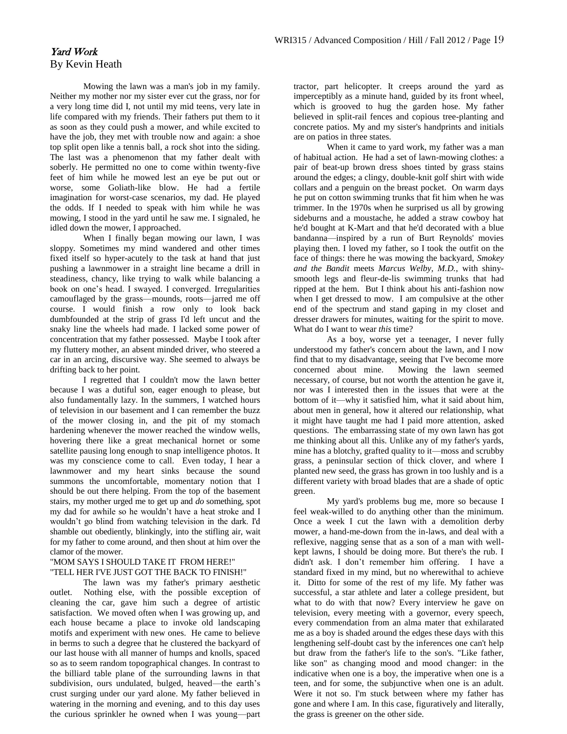# Yard Work By Kevin Heath

Mowing the lawn was a man's job in my family. Neither my mother nor my sister ever cut the grass, nor for a very long time did I, not until my mid teens, very late in life compared with my friends. Their fathers put them to it as soon as they could push a mower, and while excited to have the job, they met with trouble now and again: a shoe top split open like a tennis ball, a rock shot into the siding. The last was a phenomenon that my father dealt with soberly. He permitted no one to come within twenty-five feet of him while he mowed lest an eye be put out or worse, some Goliath-like blow. He had a fertile imagination for worst-case scenarios, my dad. He played the odds. If I needed to speak with him while he was mowing, I stood in the yard until he saw me. I signaled, he idled down the mower, I approached.

When I finally began mowing our lawn, I was sloppy. Sometimes my mind wandered and other times fixed itself so hyper-acutely to the task at hand that just pushing a lawnmower in a straight line became a drill in steadiness, chancy, like trying to walk while balancing a book on one's head. I swayed. I converged. Irregularities camouflaged by the grass—mounds, roots—jarred me off course. I would finish a row only to look back dumbfounded at the strip of grass I'd left uncut and the snaky line the wheels had made. I lacked some power of concentration that my father possessed. Maybe I took after my fluttery mother, an absent minded driver, who steered a car in an arcing, discursive way. She seemed to always be drifting back to her point.

I regretted that I couldn't mow the lawn better because I was a dutiful son, eager enough to please, but also fundamentally lazy. In the summers, I watched hours of television in our basement and I can remember the buzz of the mower closing in, and the pit of my stomach hardening whenever the mower reached the window wells, hovering there like a great mechanical hornet or some satellite pausing long enough to snap intelligence photos. It was my conscience come to call. Even today, I hear a lawnmower and my heart sinks because the sound summons the uncomfortable, momentary notion that I should be out there helping. From the top of the basement stairs, my mother urged me to get up and *do* something, spot my dad for awhile so he wouldn't have a heat stroke and I wouldn't go blind from watching television in the dark. I'd shamble out obediently, blinkingly, into the stifling air, wait for my father to come around, and then shout at him over the clamor of the mower.

#### "MOM SAYS I SHOULD TAKE IT FROM HERE!" "TELL HER I'VE JUST GOT THE BACK TO FINISH!"

The lawn was my father's primary aesthetic outlet. Nothing else, with the possible exception of cleaning the car, gave him such a degree of artistic satisfaction. We moved often when I was growing up, and each house became a place to invoke old landscaping motifs and experiment with new ones. He came to believe in berms to such a degree that he clustered the backyard of our last house with all manner of humps and knolls, spaced so as to seem random topographical changes. In contrast to the billiard table plane of the surrounding lawns in that subdivision, ours undulated, bulged, heaved—the earth's crust surging under our yard alone. My father believed in watering in the morning and evening, and to this day uses the curious sprinkler he owned when I was young—part

tractor, part helicopter. It creeps around the yard as imperceptibly as a minute hand, guided by its front wheel, which is grooved to hug the garden hose. My father believed in split-rail fences and copious tree-planting and concrete patios. My and my sister's handprints and initials are on patios in three states.

When it came to yard work, my father was a man of habitual action. He had a set of lawn-mowing clothes: a pair of beat-up brown dress shoes tinted by grass stains around the edges; a clingy, double-knit golf shirt with wide collars and a penguin on the breast pocket. On warm days he put on cotton swimming trunks that fit him when he was trimmer. In the 1970s when he surprised us all by growing sideburns and a moustache, he added a straw cowboy hat he'd bought at K-Mart and that he'd decorated with a blue bandanna—inspired by a run of Burt Reynolds' movies playing then. I loved my father, so I took the outfit on the face of things: there he was mowing the backyard, *Smokey and the Bandit* meets *Marcus Welby, M.D.*, with shinysmooth legs and fleur-de-lis swimming trunks that had ripped at the hem. But I think about his anti-fashion now when I get dressed to mow. I am compulsive at the other end of the spectrum and stand gaping in my closet and dresser drawers for minutes, waiting for the spirit to move. What do I want to wear *this* time?

As a boy, worse yet a teenager, I never fully understood my father's concern about the lawn, and I now find that to my disadvantage, seeing that I've become more concerned about mine. Mowing the lawn seemed necessary, of course, but not worth the attention he gave it, nor was I interested then in the issues that were at the bottom of it—why it satisfied him, what it said about him, about men in general, how it altered our relationship, what it might have taught me had I paid more attention, asked questions. The embarrassing state of my own lawn has got me thinking about all this. Unlike any of my father's yards, mine has a blotchy, grafted quality to it—moss and scrubby grass, a peninsular section of thick clover, and where I planted new seed, the grass has grown in too lushly and is a different variety with broad blades that are a shade of optic green.

My yard's problems bug me, more so because I feel weak-willed to do anything other than the minimum. Once a week I cut the lawn with a demolition derby mower, a hand-me-down from the in-laws, and deal with a reflexive, nagging sense that as a son of a man with wellkept lawns, I should be doing more. But there's the rub. I didn't ask. I don't remember him offering. I have a standard fixed in my mind, but no wherewithal to achieve it. Ditto for some of the rest of my life. My father was successful, a star athlete and later a college president, but what to do with that now? Every interview he gave on television, every meeting with a governor, every speech, every commendation from an alma mater that exhilarated me as a boy is shaded around the edges these days with this lengthening self-doubt cast by the inferences one can't help but draw from the father's life to the son's. "Like father, like son" as changing mood and mood changer: in the indicative when one is a boy, the imperative when one is a teen, and for some, the subjunctive when one is an adult. Were it not so. I'm stuck between where my father has gone and where I am. In this case, figuratively and literally, the grass is greener on the other side.